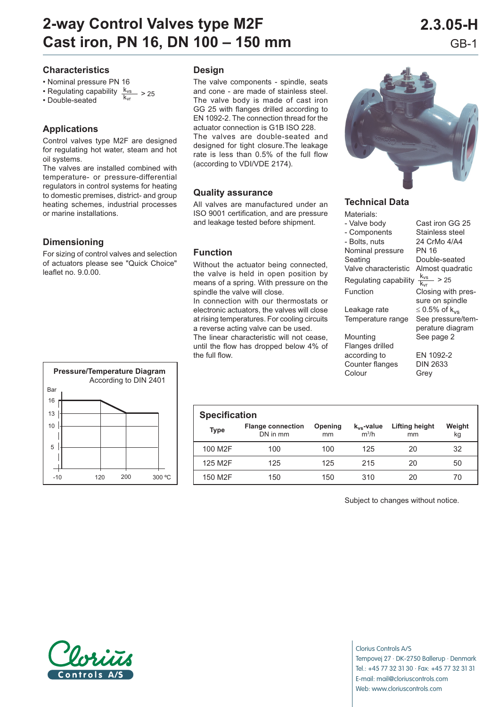# **2-way Control Valves type M2F 2.3.05-H Cast iron, PN 16, DN 100 – 150 mm** GB-1

### **Characteristics**

- Nominal pressure PN 16
- Regulating capability  $\frac{k_{vs}}{k_{vs}} > 25$
- Double-seated

## **Applications**

Control valves type M2F are designed for regulating hot water, steam and hot oil systems.

The valves are installed combined with temperature- or pressure-differential regulators in control systems for heating to domestic premises, district- and group heating schemes, industrial processes or marine installations.

## **Dimensioning**

For sizing of control valves and selection of actuators please see "Quick Choice" leaflet no. 9.0.00.



#### **Design**

The valve components - spindle, seats and cone - are made of stainless steel. The valve body is made of cast iron GG 25 with flanges drilled according to EN 1092-2. The connection thread for the actuator connection is G1B ISO 228. The valves are double-seated and designed for tight closure.The leakage rate is less than 0.5% of the full flow (according to VDI/VDE 2174).

#### **Quality assurance**

All valves are manufactured under an ISO 9001 certification, and are pressure and leakage tested before shipment.

#### **Function**

Without the actuator being connected, the valve is held in open position by means of a spring. With pressure on the spindle the valve will close.

In connection with our thermostats or electronic actuators, the valves will close at rising temperatures. For cooling circuits a reverse acting valve can be used.

The linear characteristic will not cease, until the flow has dropped below 4% of the full flow.



#### **Technical Data**

| Materials:            |                           |
|-----------------------|---------------------------|
| - Valve body          | Cast iron GG 25           |
| - Components          | Stainless steel           |
| - Bolts, nuts         | 24 CrMo 4/A4              |
| Nominal pressure      | PN 16                     |
| Seating               | Double-seated             |
| Valve characteristic  | Almost quadratic          |
| Regulating capability | $\frac{k_{vs}}{s}$ > 25   |
| Function              | Closing with pres-        |
|                       | sure on spindle           |
| Leakage rate          | ≤ 0.5% of k <sub>vs</sub> |
| Temperature range     | See pressure/tem-         |
|                       | perature diagram          |
| Mounting              | See page 2                |
| Flanges drilled       |                           |
| according to          | EN 1092-2                 |
| Counter flanges       | DIN 2633                  |
| Colour                | Grev                      |

| <b>Specification</b> |                                      |               |                            |                      |              |  |  |
|----------------------|--------------------------------------|---------------|----------------------------|----------------------|--------------|--|--|
| Type                 | <b>Flange connection</b><br>DN in mm | Opening<br>mm | $k_{vs}$ -value<br>$m^3/h$ | Lifting height<br>mm | Weight<br>kg |  |  |
| 100 M2F              | 100                                  | 100           | 125                        | 20                   | 32           |  |  |
| 125 M2F              | 125                                  | 125           | 215                        | 20                   | 50           |  |  |
| 150 M2F              | 150                                  | 150           | 310                        | 20                   | 70           |  |  |

Subject to changes without notice.



Clorius Controls A/S Tempovej 27 · DK-2750 Ballerup · Denmark Tel.: +45 77 32 31 30 · Fax: +45 77 32 31 31 E-mail: mail@cloriuscontrols.com Web: www.cloriuscontrols.com